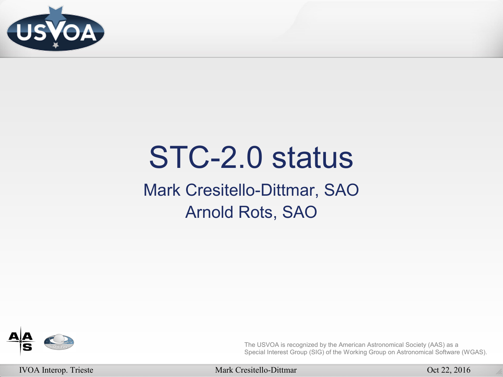

# STC-2.0 status

Mark Cresitello-Dittmar, SAO Arnold Rots, SAO



The USVOA is recognized by the American Astronomical Society (AAS) as a Special Interest Group (SIG) of the Working Group on Astronomical Software (WGAS).

IVOA Interop. Trieste Mark Cresitello-Dittmar Oct 22, 2016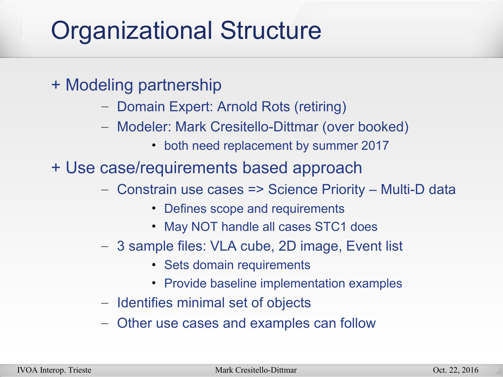## Organizational Structure

- + Modeling partnership
	- Domain Expert: Arnold Rots (retiring)
	- Modeler: Mark Cresitello-Dittmar (over booked)
		- both need replacement by summer 2017

+ Use case/requirements based approach

- Constrain use cases => Science Priority Multi-D data
	- Defines scope and requirements
	- May NOT handle all cases STC1 does
- 3 sample files: VLA cube, 2D image, Event list
	- Sets domain requirements
	- Provide baseline implementation examples
- Identifies minimal set of objects
- Other use cases and examples can follow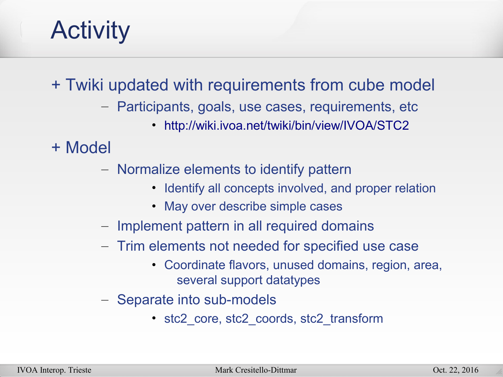#### Activity

+ Twiki updated with requirements from cube model

- Participants, goals, use cases, requirements, etc
	- <http://wiki.ivoa.net/twiki/bin/view/IVOA/STC2>

+ Model

- Normalize elements to identify pattern
	- Identify all concepts involved, and proper relation
	- May over describe simple cases
- Implement pattern in all required domains
- Trim elements not needed for specified use case
	- Coordinate flavors, unused domains, region, area, several support datatypes
- Separate into sub-models
	- stc2 core, stc2 coords, stc2 transform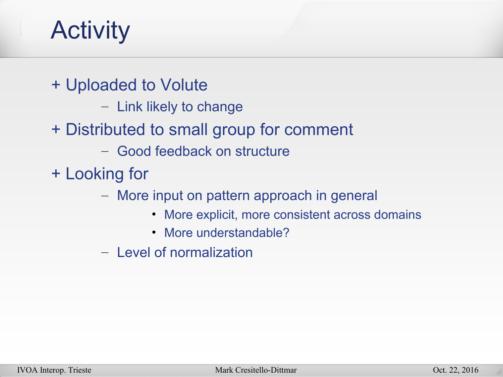#### **Activity**

+ Uploaded to Volute

- Link likely to change
- + Distributed to small group for comment
	- Good feedback on structure
- + Looking for
	- More input on pattern approach in general
		- More explicit, more consistent across domains
		- More understandable?
	- Level of normalization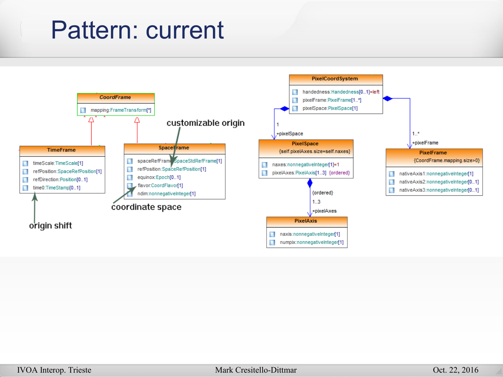#### Pattern: current

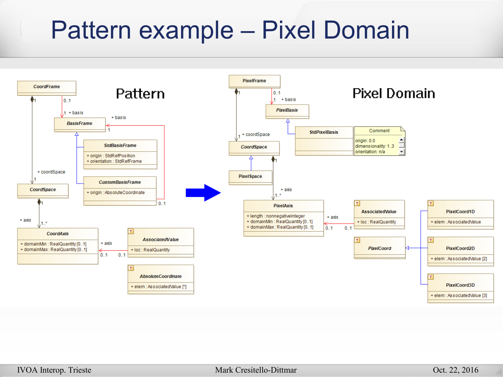#### Pattern example – Pixel Domain

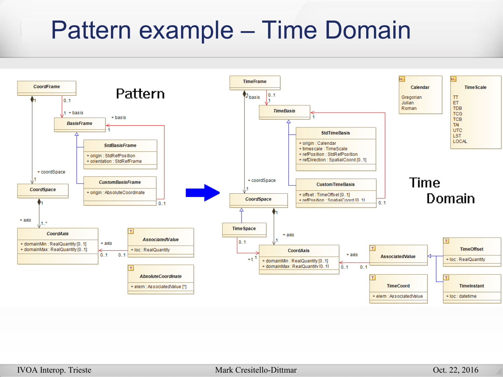### Pattern example – Time Domain

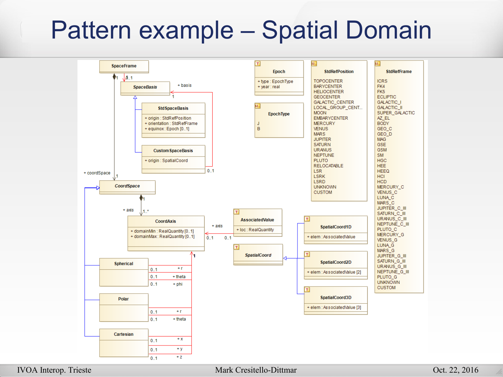#### Pattern example – Spatial Domain



#### IVOA Interop. Trieste Mark Cresitello-Dittmar Oct. 22, 2016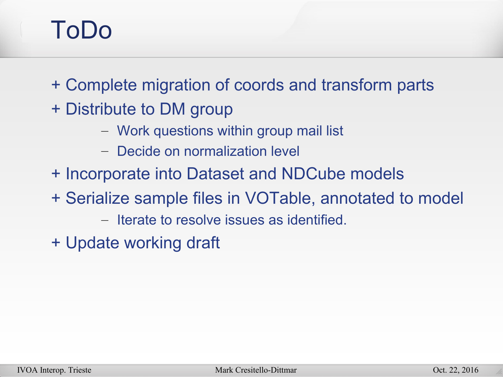#### ToDo

+ Complete migration of coords and transform parts

- + Distribute to DM group
	- Work questions within group mail list
	- Decide on normalization level
- + Incorporate into Dataset and NDCube models
- + Serialize sample files in VOTable, annotated to model
	- Iterate to resolve issues as identified.
- + Update working draft